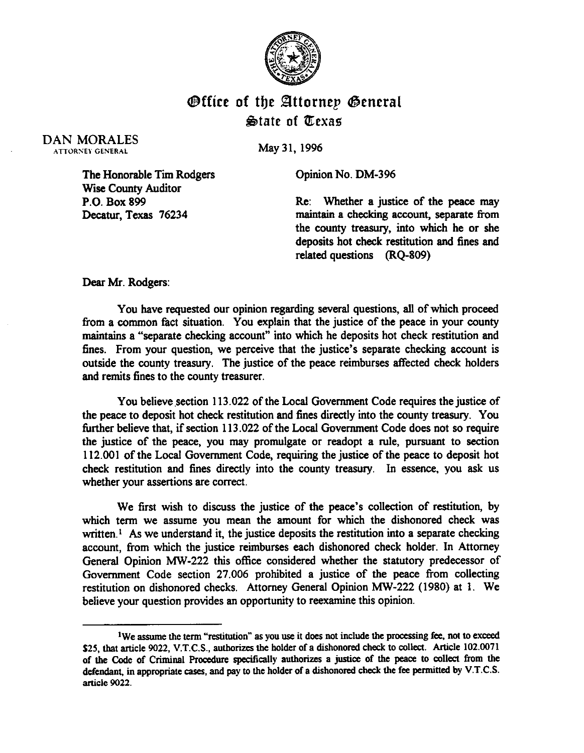

## **Office of the Attornep General State of Texas**

DAN MORALES ATTORNEY GENERAL

May 31.1996

Opinion No. DM-396

The Honorable Tim Rodgers Wise County Auditor P.O. Box 899 Decatur, Texas 76234

Re: Whether a justice of the peace may maintain a checking account, separate from the county treasury, into which he or she deposits hot check restitution and fines and related questions (RQ-809)

Dear Mr. Rodgers:

You have requested our opinion regarding several questions, all of which proceed from a common fact situation. You explain that the justice of the peace in your county maintains a "separate checking account" into which he deposits hot check restitution and fines. From your question, we perceive that the justice's separate checking account is outside the county treasury. The justice of the peace reimburses affected check holders and remits fines to the county treasurer.

You believe section 113.022 of the Local Government Code requires the justice of the peace to deposit hot check restitution and fines directly into the county treasury. You finther believe that, if section 113.022 of the Local Government Code does not so require the justice of the peace, you may promulgate or readopt a rule, pursuant to section 112.001 of the Local Government Code, requiring the justice of the peace to deposit hot check restitution and fines directly into the county treasury. In essence, you ask us whether your assertions are correct.

We first wish to discuss the justice of the peace's collection of restitution, by which term we assume you mean the amount for which the dishonored check was written.<sup> $1$ </sup> As we understand it, the justice deposits the restitution into a separate checking account, from which the justice reimburses each dishonored check holder. In Attorney General Opinion MW-222 this office considered whether the statutory predecessor of Government Code section 27.006 prohibited a justice of the peace from collecting restitution on dishonored checks. Attorney General Opinion MW-222 (1980) at 1. We beiieve your question provides an opportunity to reexamine this opinion.

<sup>&</sup>lt;sup>1</sup>We assume the term "restitution" as you use it does not include the processing fee, not to exceed \$25, that article 9022, V.T.C.S., authorizes the holder of a dishonored check to collect. Article 102.0071 \$25, that article 9022, V.T.C.S., authorizes the holder of a dishonored check to concert. Article 102.0071 **of the Code of Criminal Procedure specifically authorizes a justice of the peace to collect from the**  defendant, in appropriate cases, and pay to the holder of a dishonored check the fee permitted by V.T.C.S. **article 9022.**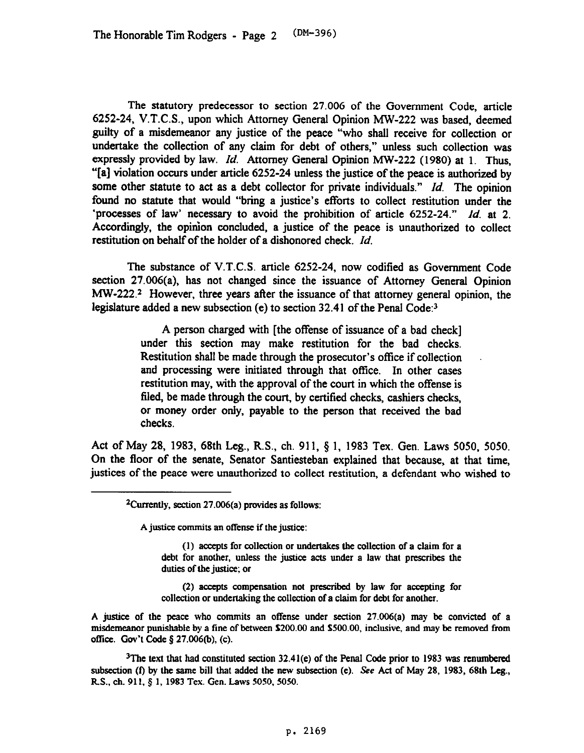The statutory predecessor to section 27.006 of the Government Code, article 6252-24, V.T.C.S., upon which Attorney General Opinion MW-222 was based, deemed guilty of a misdemeanor any justice of the peace "who shall receive for collection or undertake the collection of any claim for debt of others," unless such collection was expressly provided by law. *Id.* Attorney General Opinion MW-222 (1980) at 1. Thus, "[a] violation occurs under article 6252-24 **unless** the justice of the peace is authorized by some other statute to act as a debt collector for private individuals." *Id.* The opinion found no statute that would "bring a justice's efforts to collect restitution under the 'processes of law' necessary to avoid the prohibition of article 6252-24." *Id.* at 2. Accordingly, the opinion concluded, a justice of the peace is unauthorized to collect restitution on behalf of the holder of a dishonored check. *Id.* 

The substance of V.T.C.S. article 6252-24, now codified as Government Code section 27.006(a), has not changed since the issuance of Attorney General Opinion MW-222.<sup>2</sup> However, three years after the issuance of that attorney general opinion, the legislature added a new subsection (e) to section 32.41 of the Penal Code:<sup>3</sup>

> A person charged with [the offense of issuance of a bad check] under this section may make restitution for the bad checks. Restitution shall be made through the prosecutor's office if collection and processing were initiated through that office. In other cases restitution may, with the approval of the court in which the offense is filed, be made through the court, by certified checks, cashiers checks, or money order only, payable to the person that received the bad checks.

Act of May 28, 1983, 68th Leg., R.S., ch. 911, § 1, 1983 Tex. Gen. Laws 5050, 5050. On the floor of the senate, Senator Santiesteban explained that because, at that time, justices of the peace were unauthorized to collect restitution, a defendant who wished to

**A** justice commits an offense if the justice:

(1) accepts for collection or undertakes the collection of a claim for a **debt for another, unless the josticc acts under a law that prescribes the duties of the justice; or** 

**(2) accepts compensation not prescribed by law for accepting for collection or ondenaking the collection of a claim for debt for another.** 

**A justice of the peace who commits an offense under section 27.006(a) may be convicted of a**  mi&meaaor punishable **by a tine** of between **\$200.00** and **\$500.00,** inclusive, and may k removed from **office.** Gov't Code § 27.006(b), (c).

<sup>3</sup>The text that had constituted section 32.41(e) of the Penal Code prior to 1983 was renumbered **subsection (f) by the same bill that added the new subsection (e). See Act of May 28, 1983, 68th Leg.,**  R.S., ch. 911, § 1, 1983 Tex. Gen. Laws 5050, 5050.

<sup>&</sup>lt;sup>2</sup>Currently, section 27.006(a) provides as follows: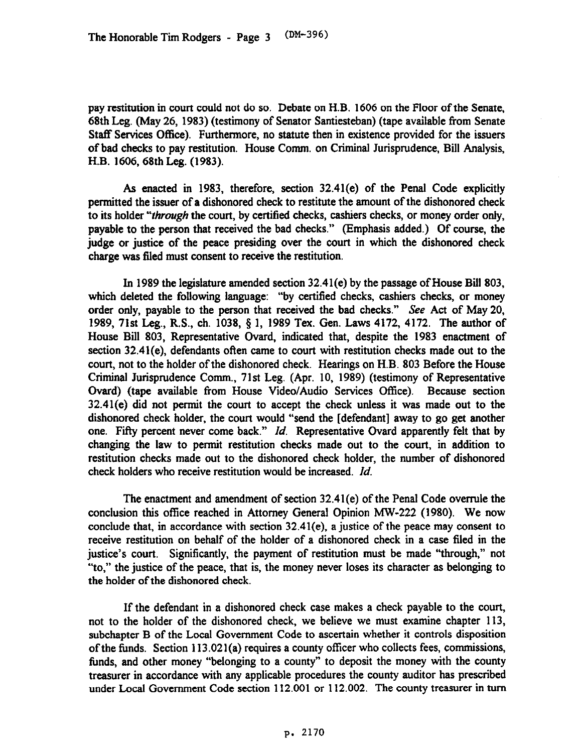pay restitution in court could not do so. Debate on H.B. 1606 on the Floor of the Senate, 68th Leg. (May 26, 1983) (testimony of Senator Santiesteban) (tape available from Senate Staff Services Office). Furthermore, no statute then in existence provided for the issuers of bad checks to pay restitution. House Comm. on Criminal Jurisprudence, Bill Analysis, H.B. 1606,68th Leg. (1983).

As enacted in 1983, therefore, section 32.41(e) of the Penal Code explicitly permitted the issuer of a dishonored check to restitute the amount of the dishonored check to its holder "*through* the court, by certified checks, cashiers checks, or money order only, payable to the person that received the bad checks." (Emphasis added.) Of course, the judge or justice of the peace presiding over the court in which the dishonored check charge was filed must consent to receive the restitution.

In 1989 the legislature amended section 32.41(e) by the passage of House Bill 803, which deleted the following language: "by certified checks, cashiers checks, or money order only, payable to the person that received the bad checks." See Act of May 20, 1989, 71st Leg., R.S., ch. 1038, 9 1, 1989 Tex. Gen. Laws 4172, 4172. The author of House Bill 803, Representative Ovard, indicated that, despite the 1983 enactment of section 32.41(e), defendants often came to court with restitution checks made out to the court, not to the holder of the dishonored check. Hearings on H.B. 803 Before the House Criminal Jurisprudence Comm., 71st Leg. (Apr. 10, 1989) (testimony of Representative Gvard) (tape available from House Video/Audio Services Office). Because section 32.41(e) did not permit the court to accept the check unless it was made out to the dishonored check holder, the court would "send the [defendant] away to go get another one. Fifty percent never come back." *Id.* Representative Ovard apparently felt that by changing the law to permit restitution checks made out to the court, in addition to restitution checks made out to the dishonored check holder, the number of dishonored check holders who receive restitution would be increased. *Id.* 

The enactment and amendment of section 32.41(e) of the Penal Code overrule the conclusion this offtce reached in Attorney General Opinion MW-222 (1980). We now conclude that, in accordance with section  $32.41(e)$ , a justice of the peace may consent to receive restitution on behalf of the holder of a dishonored check in a case filed in the justice's court. Significantly, the payment of restitution must be made "through," not "to," the justice of the peace, that is, the money never loses its character as belonging to the holder of the dishonored check.

If the defendant in a dishonored check case makes a check payable to the court, not to the holder of the dishonored check, we believe we must examine chapter 113, subchapter B of the Local Government Code to ascertain whether it controls disposition of the funds. Section 113.021(a) requires a county officer who collects fees, commissions, funds, and other money "belonging to a county" to deposit the money with the county treasurer in accordance with any applicable procedures the county auditor has prescribed under Local Government Code section 112.001 or 112.002. The county treasurer in turn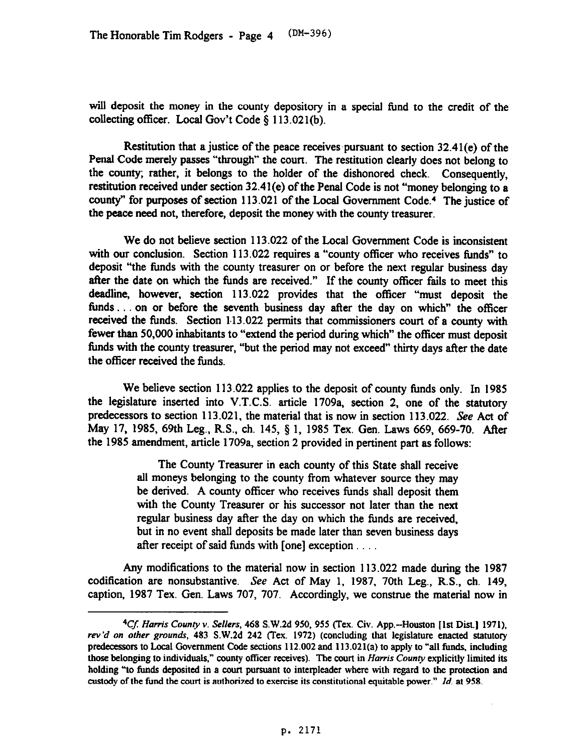will deposit the money in the county depository in a special fund to the credit of the collecting officer. Local Gov't Code \$ 113.021(b).

Restitution that a justice of the peace receives pursuant to section  $32.41(e)$  of the Penal Code merely passes "through" the court. The restitution clearly does not belong **to**  the county; rather, it belongs to the holder of the dishonored check. Consequently, restitution received under section 32.41(e) of the Penal Code is not "money belonging to a county" for purposes of section 113.021 of the Local Government Code.<sup>4</sup> The justice of the peace need not, therefore, deposit the money with the county treasurer.

We do not believe section 113.022 of the Local Government Code is inconsistent with our conclusion. Section 113.022 requires a "county officer who receives funds" to deposit "the tinds with the county treasurer on or before the next regular business day after the date on which the funds are received." If the county officer fails to meet this deadline, however, section 113.022 provides that the officer "must deposit the funds  $\ldots$  on or before the seventh business day after the day on which" the officer received the finds. Section 1.13.022 permits that commissioners court of a county with fewer than 50,000 inhabitants to "extend the period during which" the officer must deposit funds with the county treasurer, "but the period may not exceed" thirty days after the date the officer received the funds.

We believe section 113.022 applies to the deposit of county funds only. In 1985 the legislature inserted into V.T.C.S. article 1709a, section 2, one of the statutory predecessors to section 113.021, the material that is now in section 113.022. See Act of May 17, 1985, 69th Leg., R.S., ch. 145, § 1, 1985 Tex. Gen. Laws 669, 669-70. After the 1985 amendment, article 1709a, section 2 provided in pertinent part as follows:

> The County Treasurer in each county of this State shall receive all moneys belonging to the county from whatever source they may be derived. A county officer who receives funds shall deposit them with the County Treasurer or his successor not later than the next regular business day after the day on which the funds are received, but in no event shall deposits be made later than seven business days after receipt of said funds with  $[one]$  exception  $\dots$

Any modifications to the material now in section 113.022 made during the 1987 codification are nonsubstantive. See Act of May 1, 1987, 70th Leg., R.S., ch. 149, caption, 1987 Tex. Gen. Laws 707, 707. Accordingly, we construe the material now in

<sup>&</sup>lt;sup>4</sup>Cf. Harris County v. Sellers, 468 S.W.2d 950, 955 (Tex. Civ. App.--Houston [1st Dist.] 1971), rev'd on other grounds, 483 S.W.2d 242 (Tex. 1972) (concluding that legislature enacted statutory predecessors to Local Government Code sections 112.002 and 113.021(a) to apply to "all funds, including those belonging to individuals," county officer receives). The court in *Harris County* explicitly limited its **holding** "to **funds deposited in a court pursuant to interpleader where with regard to the protection and custody of the fund the court is authorized to exercise its constitutional equitable power."** *Id.* **at 958.**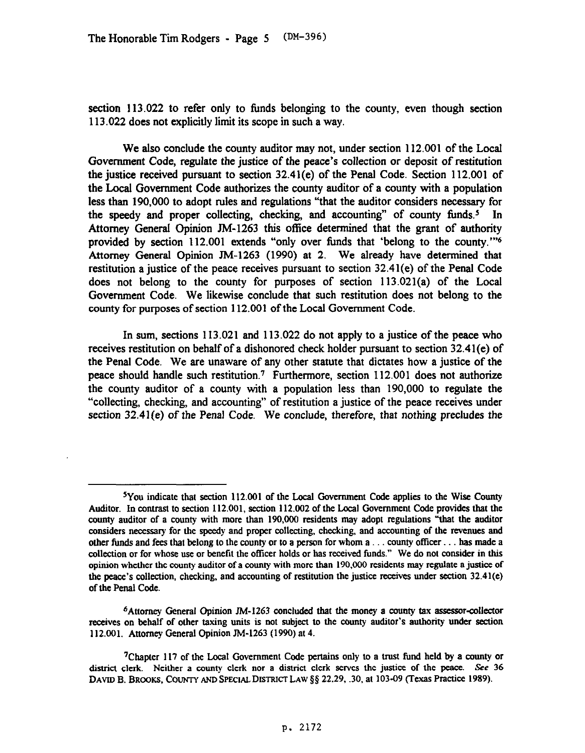section 113.022 to refer only to funds belonging to the county, even though section 113.022 does not explicitly limit its scope in such a way.

We also conclude the county auditor may not, under section 112.001 of the Local Government Code, regulate the justice of the peace's collection or deposit of restitution the justice received pursuant to section 32.41(e) of the Penal Code. Section 112.001 of the Local Government Code authorizes the county auditor of a county with a population less than 190,000 to adopt rules and regulations "that the auditor considers necessary for the speedy and proper collecting, checking, and accounting" of county funds.<sup>5</sup> In Attorney General Opinion JM-1263 this office determined that the grant of authority provided by section 112.001 extends "only over Iimds that 'belong to the county."'6 Attorney General Opinion JM-1263 (1990) at 2. We already have determined that restitution a justice of the peace receives pursuant to section 32.41(e) of the Penal Code does not belong to the county for purposes of section 113.021(a) of the Local Government Code. We likewise conclude that such restitution does not belong to the **county** for purposes of section 112.001 of the Local Government Code.

In sum, sections 113.021 and 113.022 do not apply to a justice of the peace who receives restitution on behalf of a dishonored check holder pursuant to section 32.41(e) of the Penal Code. We are unaware of any other statute that dictates how a justice of the peace should handle such restitution.<sup>7</sup> Furthermore, section 112.001 does not authorize the county auditor of a county with a population less than 190,000 to regulate the "collecting, checking, and accounting" of restitution a justice of the peace receives under section 32.41(e) of the Penal Code. We conclude, therefore, that *nothing* precludes the

JYou indicate that section **112.001 of the Local Government Code applies to the Wise County Auditor.** In contrast to section **112.001,** section **112.002 of the** Local Government Code **provides that the**  county auditor of a county with more than 190,000 residents may adopt regulations "that the auditor **considers necessary for the speedy and proper collecting, checking, and accounting of the revenues and**  other funds and fees that belong to the county or to a person for whom a . . . county officer . . . has made a **collection or for whose use or benefit the officer holds or has received funds." We do not consider in this opinion whether the county auditor of a county with more than 190,000 residents may regulate a justice of the peace's collection, checking, and accounting of restitution the justice receives under section 32.41(e) of the Penal Code.** 

<sup>&</sup>lt;sup>6</sup>Attorney General Opinion JM-1263 concluded that the money a county tax assessor-collector **receives on behalf of other taxing units is not subject to the county auditor's authority under section 112.001. Attorney General Opinion IM-1263 (1990) at 4.** 

**<sup>&#</sup>x27;Chapter 117 of the Local Government Code pertains only to a trust fund held by a county or district clerk. Neither a county clerk nor a district clerk serves the justice of the peace. See 36**  DAVID B. BROOKS, COUNTY AND SPECIAL DISTRICT LAW § § 22.29, .30, at 103-09 (Texas Practice 1989).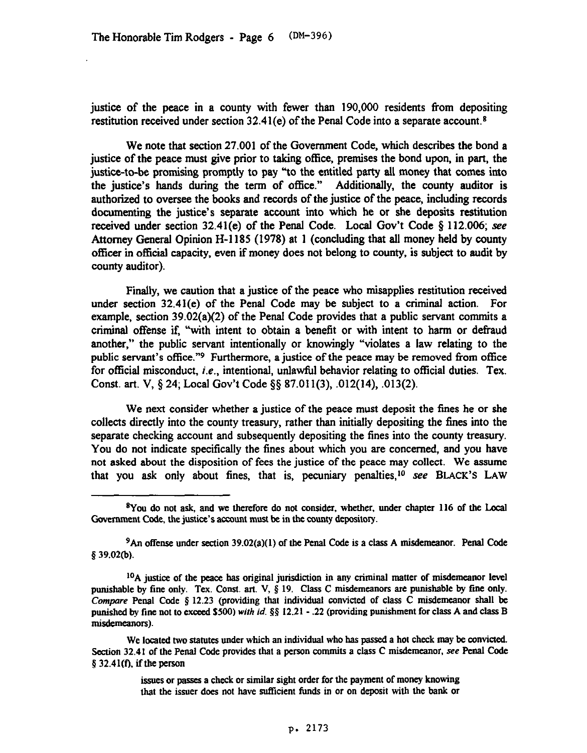justice of the peace in a county with fewer than 190,000 residents from depositing restitution received under section  $32.41(e)$  of the Penal Code into a separate account.<sup>8</sup>

We note that section 27.001 of the Government Code, which describes the bond a justice of the peace must give prior to taking office, premises the bond upon, in part, the justice-to-be promising promptly to pay "to the entitled party all money that comes into the justice's hands during the term of office." Additionally, the county auditor is authorized to oversee the books and records of the justice of the peace, including records documenting the justice's separate account into which he or she deposits restitution received under section 32.41(e) of the Penal Code. Local Gov't Code § 112.006; see Attorney General Opinion H-l 185 (1978) at 1 (concluding that all money held by county officer in official capacity, even if money does not belong to county, is subject to audit by county auditor).

Finally, we caution that a justice of the peace who misapplies restitution received under section 32.41(e) of the Penal Code may be subject to a criminal action. For example, section 39.02(a)(2) of the Penal Code provides that a public servant commits a criminal offense if, "with intent to obtain a benefit or with intent to harm or defraud another," the public servant intentionally or knowingly "violates a law relating to the public servant's office."9 Furthermore, a justice of the peace may be removed from office for official misconduct, *i.e.*, intentional, unlawful behavior relating to official duties. Tex. Const. art. V, \$24; Local Gov't Code §§ 87.011(3), .012(14), .013(2).

We next consider whether a justice of the peace must deposit the fines he or she collects directly into the county treasury, rather than initially depositing the fines into the separate checking account and subsequently depositing the fines into the county treasury. You do not indicate specifically the fines about which you are concerned, and you have not asked about the disposition of fees the justice of the peace may collect. We assume that you ask only about fines, that is, pecuniary penalties,<sup>10</sup> see BLACK'S LAW

**<sup>\*</sup>You do not ask, and we therefore do not consider, whether, under chapter 116 of the Local**  Government Code, the justice's account must be in the county depository.

<sup>9</sup>An **offense under section 39.02(a)(l) of the Penal Code is a class A misdemeanor. Penal Code 8 39.02(b).** 

**IOA joke of the peace has original jurisdiction in any criminal matter of misdemeanor level punishable by tine only. Tex. Const. art. V, 5 19. Class C misdemeanors are punishable by fine only.**  Compare Penal Code § 12.23 (providing that individual convicted of class C misdemeanor shall be punished **by fine not to exceed \$500) with** *id.* **88 12.21 - .22 (providing punishment for class A and class B**  misdemeanors).

**We located two statutes under which an individual who has passed a hot check may be convicted. Section 32.41 of the Penal Code provides that a person commits a class C misdemeanor, see Penal Code 5 32.41(f), ifthe person** 

**issues or passes a check or similar sight order for the payment of money knowing that the issuer does not have sufficient funds in or on deposit with the bank or**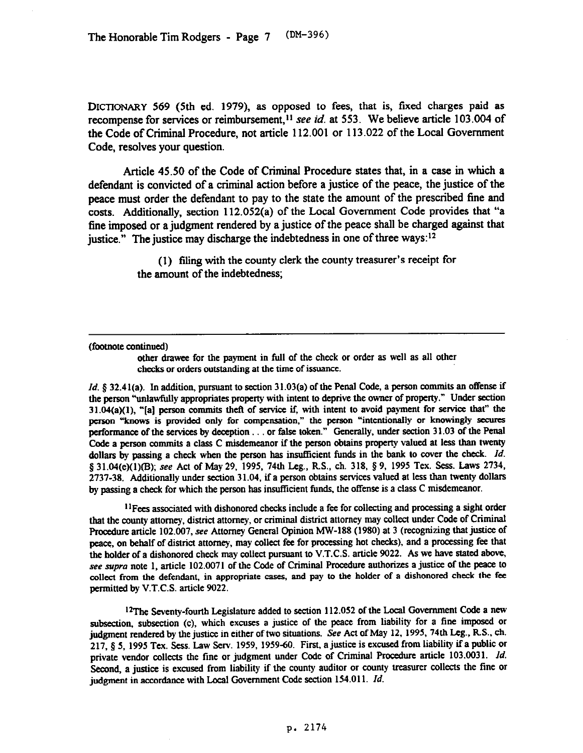**DICTIONARY** 569 (5th ed. 1979), as opposed to fees, that is, fixed charges paid as recompense for services or reimbursement,<sup>11</sup> see *id.* at 553. We believe article 103.004 of the Code of Criminal Procedure, not article 112.001 or 113.022 of the Local Government Code, resolves your question.

Article 45.50 of the Code of Criminal Procedure states that, in a case in which a defendant is convicted of a criminal action before a justice of the peace, the **justice** of the peace must order the defendant to pay to the state the amount of the prescribed fine and costs. Additionally, section 112.052(a) of the Local Government Code provides that "a fine imposed or a judgment rendered by a justice of the peace shall be charged against that justice." The justice may discharge the indebtedness in one of three ways:<sup>12</sup>

> (1) filing with the county clerk the county treasurer's receipt for the amount of the indebtedness;

## **(footnote continued)**

**other drawcc for the payment in full of the check or order as well as all other checks or ordcrs outstanding at the time of issuance.** 

*Id.* g *32.4* **l(a).** In additioa, pursuant to section *3* **1.03(a) of the Penal Code, a person commits an otfense if**  the person "unlawfully appropriates property with intent to deprive the owner of property." Under section **31.04(a)(l), "[a] person commits theft of setice if, with intent to avoid payment for service that" the person "knows is provided only for compensation," the person "intentionally or knowingly secures performance of the services by deception... or false token." Generally, under section 31.03 of the Penal Code a person commits a class C misdemeanor if the person obtains propetty valued at less than twenty**  dollars by passing a check when the person has insufficient funds in the bank to cover the check. *Id.* § 31.04(e)(1)(B); see Act of May 29, 1995, 74th Leg., R.S., ch. 318, § 9, 1995 Tex. Sess. Laws 2734, **2737-38. Additionally under section 31.04, if a person obtains services valued at less than twenty dollars by passing a check for which the person has insufticient fimds, the offense is a class C misdemeanor.** 

**"Fees associated with dishonored checks include a fee for collecting and processing a sight order that the county attorney, district attorney, or criminal district attorney may collect under Code of Criminal procedure article 102.007, see Attorney General Opinion MW-188 (1980) at 3 (recognizing that justice of peace, on behalf of district attorney, may collect fee for processing hot checks), and a processing fee that the holder of a dishonored check may collect pursuant to V.T.C.S. article 9022. As we have stated above,**  see supra note 1, article 102.0071 of the Code of Criminal Procedure authorizes a justice of the peace to **collect from the defendant, in appropriate cases, and pay to the holder of a dishonored check the fee permitted by V.T.C.S. article 9022.** 

<sup>12</sup>The Seventy-fourth Legislature added to section 112.052 of the Local Government Code a new subsection, subsection (c), which excuses a justice of the peace from liability for a fine imposed or judgment rendered by the justice in either of two situations. See Act of May 12, 1995, 74th Leg., R.S., ch. **judgment rendered by the justice in either of two situations. See Act of May 12, 1995,74th Leg., RS., ch. 217, g 5, 1995 Tex. Sess. Law Serv. 1959, 1959-50. First, a justice is excused from liability if a public or private vendor collects the tine or judgment under Code of Crhninal Procedure article 103.003 1.** *Id.*  **Second a justice is excused from liability if the county auditor or county treasurer collects the fine or judgment in accordance with local Government Code section 154.011.** *Id.*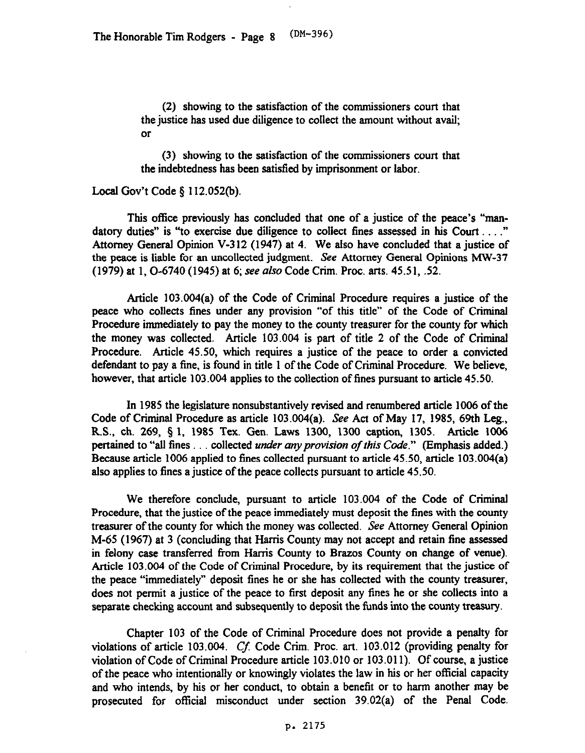(2) showing to the satisfaction of the commissioners court that the justice has used due diligence to collect the amount without avail; or

(3) showing to the satisfaction of the commissioners court that the indebtedness has been satisfied by imprisonment or labor.

## Local Gov't Code  $\S$  112.052(b).

This office previously has concluded that one of a justice of the peace's "mandatory duties" is "to exercise due diligence to collect fines assessed in his Court  $\dots$ ." Attorney General Opinion V-312 (1947) at 4. We also have concluded that a justice of the peace is liable for an uncollected judgment. See Attorney General Opinions MW-37 (1979) at 1.0-6740 (1945) at 6; see also Code Crim. Proc. arts. 45.51, .52.

Article 103.004(a) of the Code of Criminal Procedure requires a justice of the peace who collects fines under any provision "of this title" of the Code of Criminal Procedure immediately to pay the money to the county treasurer for the county for which the money was collected. Article 103.004 is part of title 2 of the Code of Criminal Procedure. Article 45.50, which requires a justice of the peace to order a convicted defendant to pay a fine, is found in title 1 of the Code of Criminal Procedure. We believe, however, that article 103.004 applies to the collection of fines pursuant to article 45.50.

In 1985 the legislature nonsubstantively revised and renumbered article 1006 of the Code of Criminal Procedure as article 103.004(a). See Act of May 17, 1985, 69th Leg., R.S., ch. 269, 5 1, 1985 Tex. Gen. Laws 1300, 1300 caption, 1305. Article 1006 pertained to "all fines ... collected *under any provision of this Code*." (Emphasis added.) Because article 1006 applied to fines collected pursuant to article 45.50, article 103.004(a) also applies to fines a justice of the peace collects pursuant to article 45.50.

We therefore conclude, pursuant to article 103.004 of the Code of Criminal Procedure, that the justice of the peace immediately must deposit the fines with the county treasurer of the county for which the money was collected. See Attorney General Opinion M-65 (1967) at 3 (concluding that Harris County may not accept and retain fine assessed in felony case transferred from Harris County to Brazes County on change of venue). Article 103.004 of the Code of Criminal Procedure, by its requirement that the justice of the peace "immediately" deposit fines he or she has collected with the county treasurer, does not permit a justice of the peace to first deposit any fines he or she collects into a separate checking account and subsequently to deposit the funds into the county treasury.

Chapter 103 of the Code of Criminal Procedure does not provide a penalty for violations of article 103.004.  $C_f$ . Code Crim. Proc. art. 103.012 (providing penalty for violation of Code of Criminal Procedure article 103.010 or 103.011). Of course, a justice of the peace who intentionally or knowingly violates the law in his or her official capacity and who intends, by his or her conduct, to obtain a benefit or to harm another may be prosecuted for official misconduct under section 39.02(a) of the Penal Code.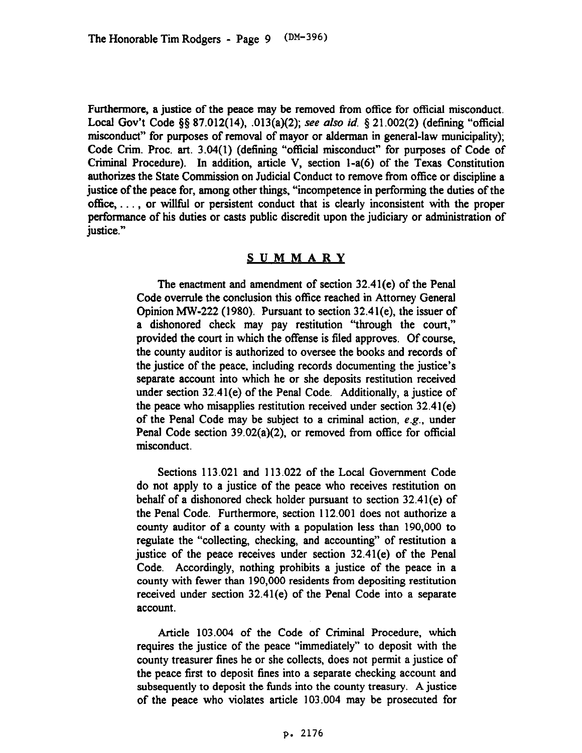Furthermore, a justice of the peace may be removed from office for official misconduct. Local Gov't Code @87.012(14), .013(a)(2); see also *id. 5* 21.002(2) (defining "official misconduct" for purposes of removal of mayor or alderman in general-law municipality); Code Crim. Proc. art. 3.04(l) (defining "official misconduct" for purposes of Code of Criminal Procedure). In addition, article V, section l-a(6) of the Texas Constitution authorizes the State Commission on Judicial Conduct to remove from office or discipline a justice of the peace for, among other things, "incompetence in performing the duties of the  $office, \ldots$ , or will full or persistent conduct that is clearly inconsistent with the proper performance of his duties or casts public discredit upon the judiciary or administration of justice."

## **SUMMARY**

The enactment and amendment of section 32.41(e) of the Penal Code overrule the conclusion this ofice reached in Attorney General Opinion W-222 (1980). Pursuant to section 32.41(e), the issuer of a dishonored check may pay restitution "'through the court," provided the court in which the offense is filed approves. Of course, the county auditor is authorized to oversee the books and records of the justice of the peace, including records documenting the justice's separate account into which he or she deposits restitution received under section 32.41(e) of the Penal Code. Additionally, a justice of the peace who misapplies restitution received under section 32.41(e) of the Penal Code may be subject to a criminal action, e.g., under Penal Code section 39.02(a)(2), or removed from office for official misconduct.

Sections 113.021 and 113.022 of the Local Government Code do not apply to a justice of the peace who receives restitution on behalf of a dishonored check holder pursuant to section 32.41(e) of the Penal Code. Furthermore, section 112.001 does not authorize a county auditor of a county with a population less than 190,000 to regulate the "collecting, checking, and accounting" of restitution a justice of the peace receives under section 32.41(e) of the Penal Code. Accordingly, nothing prohibits a justice of the peace in a county with fewer than 190,000 residents from depositing restitution received under section 32.41(e) of the Penal Code into a separate account.

Article 103.004 of the Code of Criminal Procedure, which requires the justice of the peace "immediately" to deposit with the county treasurer fines he or she collects, does not permit a justice of the peace first to deposit fines into a separate checking account and subsequently to deposit the funds into the county treasury. A justice of the peace who violates article 103.004 may be prosecuted for